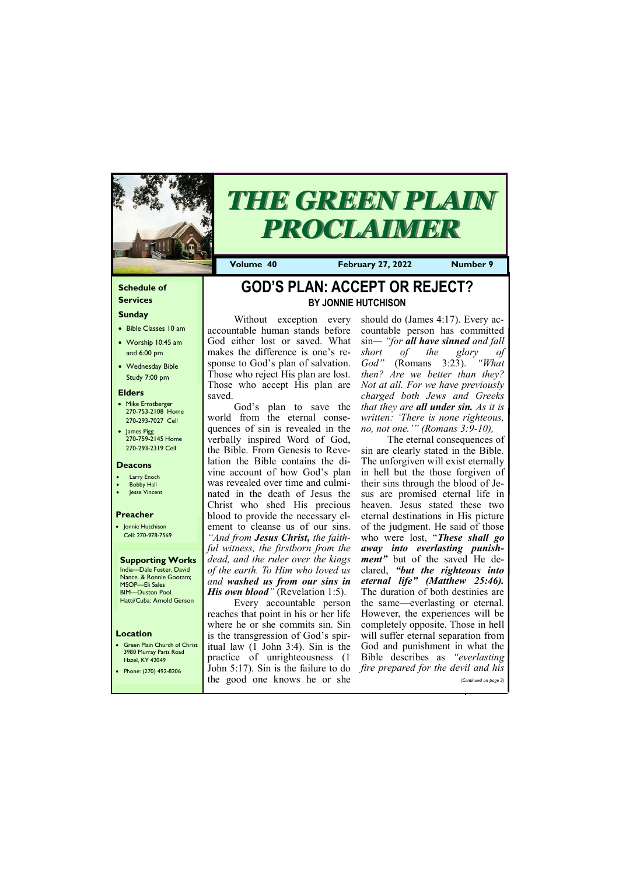### **Schedule of Services**

### **Sunday**

- Bible Classes 10 am
- Worship 10:45 am and 6:00 pm
- Wednesday Bible Study 7:00 pm

• Green Plain Church of Christ 3980 Murray Paris Road  $H_{270}$  KY 43

#### **Elders**

- Mike Ernstberger 270-753-2108 Home 270-293-7027 Cell
- James Pigg 270-759-2145 Home 270-293-2319 Cell

### **Location**



# *THE GREEN PLAIN PROCLAIMER*

**Volume 40 February 27, 2022 Number 9**

#### **Deacons**

- **Larry Enoch**
- **Bobby Hall**
- Jesse Vincent

God's plan to save the world from the eternal consequences of sin is revealed in the verbally inspired Word of God, the Bible. From Genesis to Revelation the Bible contains the divine account of how God's plan was revealed over time and culminated in the death of Jesus the Christ who shed His precious blood to provide the necessary element to cleanse us of our sins. *"And from Jesus Christ, the faithful witness, the firstborn from the dead, and the ruler over the kings of the earth. To Him who loved us and washed us from our sins in His own blood*<sup>"</sup> (Revelation 1:5).

### **Preacher**

• Jonnie Hutchison Cell: 270-978-7569

**Supporting Works** India—Dale Foster, David Nance. & Ronnie Gootam; MSOP—Eli Sales BIM—Duston Pool. Hatti/Cuba: Arnold Gerson

# **GOD'S PLAN: ACCEPT OR REJECT? BY JONNIE HUTCHISON**

Without exception every accountable human stands before God either lost or saved. What makes the difference is one's response to God's plan of salvation. Those who reject His plan are lost. Those who accept His plan are saved.

| <i>י</i> דט∠ד ו\ו בו  |                              |                                                                                 |
|-----------------------|------------------------------|---------------------------------------------------------------------------------|
| Phone: (270) 492-8206 |                              | John 5:17). Sin is the failure to do <i>fire prepared for the devil and his</i> |
|                       | the good one knows he or she | (Continued on page 3)                                                           |
|                       |                              |                                                                                 |

Every accountable person reaches that point in his or her life where he or she commits sin. Sin is the transgression of God's spiritual law (1 John 3:4). Sin is the practice of unrighteousness (1

should do (James 4:17). Every accountable person has committed sin*— "for all have sinned and fall short of the glory of God"* (Romans 3:23). *"What then? Are we better than they? Not at all. For we have previously charged both Jews and Greeks that they are all under sin. As it is written: 'There is none righteous, no, not one.'" (Romans 3:9-10),*

The eternal consequences of sin are clearly stated in the Bible. The unforgiven will exist eternally in hell but the those forgiven of their sins through the blood of Jesus are promised eternal life in heaven. Jesus stated these two eternal destinations in His picture of the judgment. He said of those who were lost, "*These shall go away into everlasting punishment*<sup>*"*</sup> but of the saved He declared, *"but the righteous into eternal life" (Matthew 25:46).*  The duration of both destinies are the same—everlasting or eternal. However, the experiences will be completely opposite. Those in hell will suffer eternal separation from God and punishment in what the Bible describes as *"everlasting*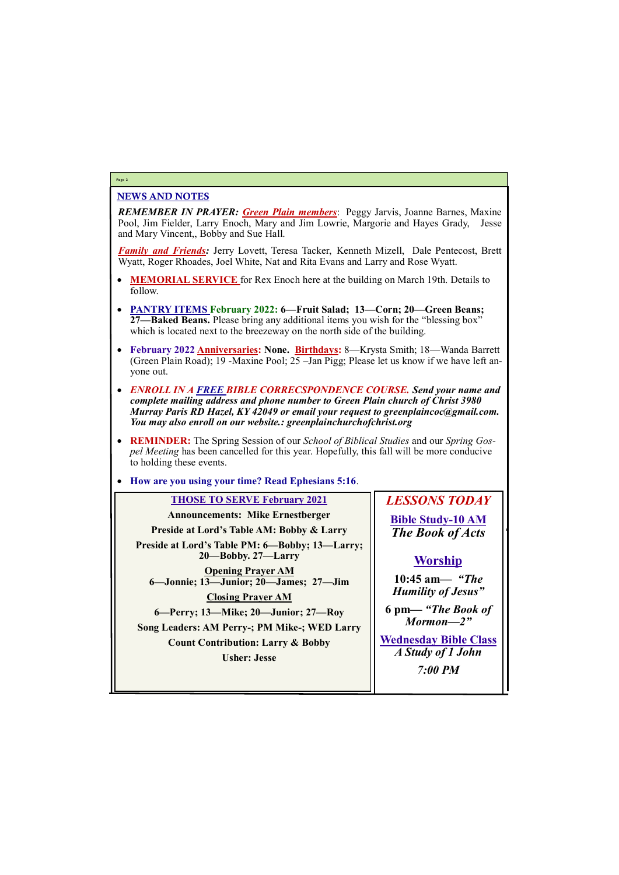### NEWS AND NOTES

*REMEMBER IN PRAYER: Green Plain members*: Peggy Jarvis, Joanne Barnes, Maxine Pool, Jim Fielder, Larry Enoch, Mary and Jim Lowrie, Margorie and Hayes Grady, Jesse and Mary Vincent,, Bobby and Sue Hall.

*Family and Friends:* Jerry Lovett, Teresa Tacker, Kenneth Mizell, Dale Pentecost, Brett Wyatt, Roger Rhoades, Joel White, Nat and Rita Evans and Larry and Rose Wyatt.

- **MEMORIAL SERVICE** for Rex Enoch here at the building on March 19th. Details to follow.
- **PANTRY ITEMS February 2022: 6—Fruit Salad; 13—Corn; 20—Green Beans; 27—Baked Beans.** Please bring any additional items you wish for the "blessing box" which is located next to the breezeway on the north side of the building.
- **February 2022 Anniversaries: None. Birthdays:** 8—Krysta Smith; 18—Wanda Barrett (Green Plain Road); 19 -Maxine Pool; 25 –Jan Pigg; Please let us know if we have left anyone out.
- *ENROLL IN A FREE BIBLE CORRECSPONDENCE COURSE. Send your name and complete mailing address and phone number to Green Plain church of Christ 3980 Murray Paris RD Hazel, KY 42049 or email your request to greenplaincoc@gmail.com. You may also enroll on our website.: greenplainchurchofchrist.org*
- **REMINDER:** The Spring Session of our *School of Biblical Studies* and our *Spring Gospel Meeting* has been cancelled for this year. Hopefully, this fall will be more conducive to holding these events.
- **How are you using your time? Read Ephesians 5:16**.

### **Page 2**

### **THOSE TO SERVE February 2021 Announcements: Mike Ernestberger Preside at Lord's Table AM: Bobby & Larry Preside at Lord's Table PM: 6—Bobby; 13—Larry; 20—Bobby. 27—Larry Opening Prayer AM 6—Jonnie; 13—Junior; 20—James; 27—Jim Closing Prayer AM 6—Perry; 13—Mike; 20—Junior; 27—Roy Song Leaders: AM Perry-; PM Mike-; WED Larry Count Contribution: Larry & Bobby Usher: Jesse**

*LESSONS TODAY* **Bible Study-10 AM** *The Book of Acts*

### **Worship**

**10:45 am***— "The Humility of Jesus"*

**6 pm—** *"The Book of Mormon—2"*

**Wednesday Bible Class** *A Study of 1 John*

| 7:00 PM |
|---------|
|         |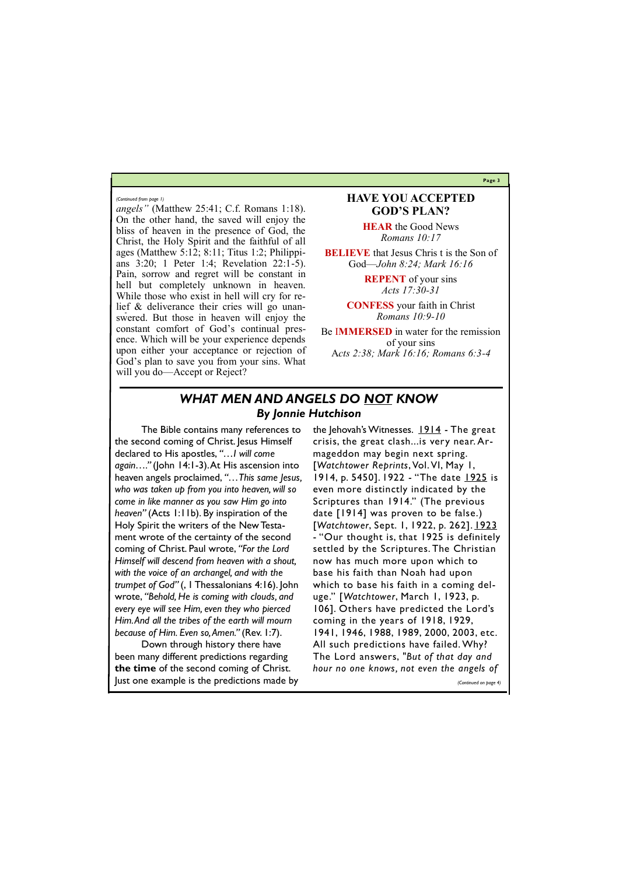**Page 3**

*angels"* (Matthew 25:41; C.f. Romans 1:18). On the other hand, the saved will enjoy the bliss of heaven in the presence of God, the Christ, the Holy Spirit and the faithful of all ages (Matthew 5:12; 8:11; Titus 1:2; Philippians 3:20; 1 Peter 1:4; Revelation 22:1-5). Pain, sorrow and regret will be constant in hell but completely unknown in heaven. While those who exist in hell will cry for relief & deliverance their cries will go unanswered. But those in heaven will enjoy the constant comfort of God's continual presence. Which will be your experience depends upon either your acceptance or rejection of God's plan to save you from your sins. What will you do—Accept or Reject?

**BELIEVE** that Jesus Chris t is the Son of God—*John 8:24; Mark 16:16*

### **HAVE YOU ACCEPTED GOD'S PLAN?**

**HEAR** the Good News *Romans 10:17*

**REPENT** of your sins *Acts 17:30-31*

**CONFESS** your faith in Christ *Romans 10:9-10*

Be I**MMERSED** in water for the remission of your sins A*cts 2:38; Mark 16:16; Romans 6:3-4*

#### *(Continued from page 1)*

### *WHAT MEN AND ANGELS DO NOT KNOW By Jonnie Hutchison*

the Jehovah's Witnesses.  $1914$  - The great crisis, the great clash...is very near. Armageddon may begin next spring. [*Watchtower Reprints*, Vol. VI, May 1, 1914, p. 5450]. 1922 - "The date 1925 is even more distinctly indicated by the Scriptures than 1914." (The previous date [1914] was proven to be false.) [*Watchtower*, Sept. 1, 1922, p. 262]. 1923 - "Our thought is, that 1925 is definitely settled by the Scriptures. The Christian now has much more upon which to base his faith than Noah had upon which to base his faith in a coming deluge." [*Watchtower*, March 1, 1923, p. 106]. Others have predicted the Lord's coming in the years of 1918, 1929, 1941, 1946, 1988, 1989, 2000, 2003, etc. All such predictions have failed. Why? The Lord answers, *"But of that day and* 

The Bible contains many references to the second coming of Christ. Jesus Himself declared to His apostles, *"…I will come again…."* (John 14:1-3). At His ascension into heaven angels proclaimed, *"…This same Jesus, who was taken up from you into heaven, will so come in like manner as you saw Him go into heaven"* (Acts 1:11b). By inspiration of the Holy Spirit the writers of the New Testament wrote of the certainty of the second coming of Christ. Paul wrote, *"For the Lord Himself will descend from heaven with a shout, with the voice of an archangel, and with the trumpet of God"* (, 1 Thessalonians 4:16). John wrote, *"Behold, He is coming with clouds, and every eye will see Him, even they who pierced Him. And all the tribes of the earth will mourn because of Him. Even so, Amen."* (Rev. 1:7).

Down through history there have been many different predictions regarding

**the time** of the second coming of Christ. Just one example is the predictions made by *hour no one knows, not even the angels of* 

*(Continued on page 4)*